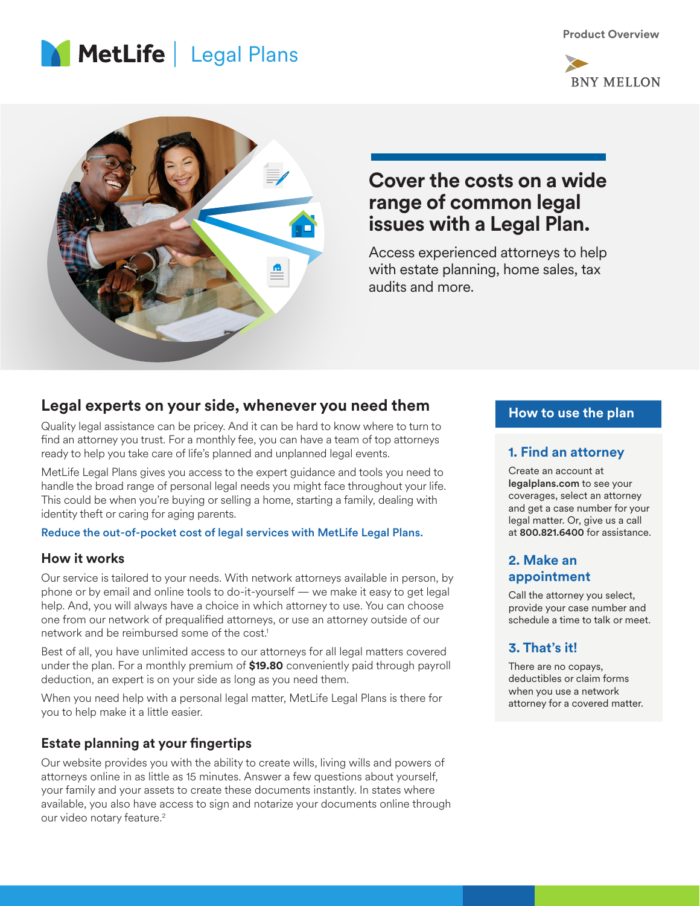





# **Cover the costs on a wide range of common legal issues with a Legal Plan.**

Access experienced attorneys to help with estate planning, home sales, tax audits and more.

### **Legal experts on your side, whenever you need them**

Quality legal assistance can be pricey. And it can be hard to know where to turn to find an attorney you trust. For a monthly fee, you can have a team of top attorneys ready to help you take care of life's planned and unplanned legal events.

MetLife Legal Plans gives you access to the expert guidance and tools you need to handle the broad range of personal legal needs you might face throughout your life. This could be when you're buying or selling a home, starting a family, dealing with identity theft or caring for aging parents.

#### Reduce the out-of-pocket cost of legal services with MetLife Legal Plans.

#### **How it works**

Our service is tailored to your needs. With network attorneys available in person, by phone or by email and online tools to do-it-yourself — we make it easy to get legal help. And, you will always have a choice in which attorney to use. You can choose one from our network of prequalified attorneys, or use an attorney outside of our network and be reimbursed some of the cost.<sup>1</sup>

Best of all, you have unlimited access to our attorneys for all legal matters covered under the plan. For a monthly premium of **\$19.80** conveniently paid through payroll deduction, an expert is on your side as long as you need them.

When you need help with a personal legal matter, MetLife Legal Plans is there for you to help make it a little easier.

#### **Estate planning at your fingertips**

Our website provides you with the ability to create wills, living wills and powers of attorneys online in as little as 15 minutes. Answer a few questions about yourself, your family and your assets to create these documents instantly. In states where available, you also have access to sign and notarize your documents online through our video notary feature.<sup>2</sup>

#### **How to use the plan**

#### **1. Find an attorney**

Create an account at legalplans.com to see your coverages, select an attorney and get a case number for your legal matter. Or, give us a call at 800.821.6400 for assistance.

#### **2. Make an appointment**

Call the attorney you select, provide your case number and schedule a time to talk or meet.

### **3. That's it!**

There are no copays, deductibles or claim forms when you use a network attorney for a covered matter.